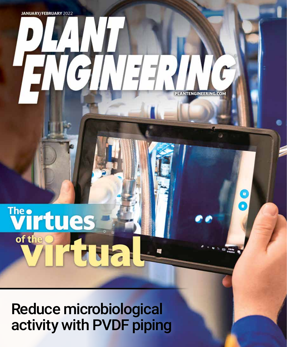# **ANTENGINEERING.COM**

O

**ED FAN** 

 $+$ 

## **Wirtues** of the

Reduce microbiological activity with PVDF piping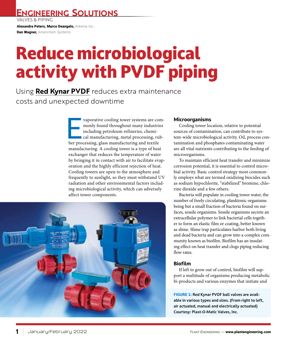**ENGINEERING SOLUTIONS**

VALVES & PIPING

Alexandra Peters, Marco Deangelo, *Arkema Inc.;*

Dan Wagner, *Americhem Systems*

### Reduce microbiological activity with PVDF piping

Using **Red Kynar PVDF** reduces extra maintenance costs and unexpected downtime

> vaporative cooling tower systems are com-<br>monly found throughout many industries<br>including petroleum refineries, chemi-<br>cal manufacturing, metal processing, rub-<br>ber processing, glass manufacturing and textile monly found throughout many industries including petroleum refineries, chemical manufacturing, metal processing, rubmanufacturing. A cooling tower is a type of heat exchanger that reduces the temperature of water by bringing it in contact with air to facilitate evaporation and the highly efficient rejection of heat. Cooling towers are open to the atmosphere and frequently to sunlight, so they must withstand UV radiation and other environmental factors including microbiological activity, which can adversely affect tower components.



#### **Microorganisms**

Cooling tower location, relative to potential sources of contamination, can contribute to system-wide microbiological activity. Oil, process contamination and phosphates contaminating water are all vital nutrients contributing to the feeding of microorganisms.

To maintain efficient heat transfer and minimize corrosion potential, it is essential to control microbial activity. Basic control strategy most commonly employs what are termed oxidizing biocides such as sodium hypochlorite, "stabilized" bromine, chlorine dioxide and a few others.

Bacteria will populate in cooling tower water, the number of freely circulating, planktonic organisms being but a small fraction of bacteria found on surfaces, sessile organisms. Sessile organisms secrete an extracellular polymer to link bacterial cells together to form an elastic film or coating, better known as slime. Slime trap particulates harbor both living and dead bacteria and can grow into a complex community known as biofilm. Biofilm has an insulating effect on heat transfer and clogs piping reducing flow rates.

#### **Biofilm**

If left to grow out of control, biofilm will support a multitude of organisms producing metabolic bi-products and various enzymes that initiate and

**FIGURE 1: Red Kynar PVDF ball valves are available in various types and sizes. (From right to left, air actuated, manual and electrically actuated) Courtesy: Plast-O-Matic Valves, Inc.**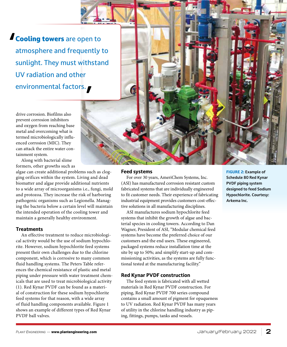**' Cooling towers** are open to atmosphere and frequently to sunlight. They must withstand UV radiation and other environmental factors.**'**

drive corrosion. Biofilms also prevent corrosion inhibitors and oxygen from reaching base metal and overcoming what is termed microbiologically influenced corrosion (MIC). They can attack the entire water containment system.

Along with bacterial slime formers, other growths such as

algae can create additional problems such as clogging orifices within the system. Living and dead biomatter and algae provide additional nutrients to a wide array of microorganisms i.e., fungi, mold and protozoa. They increase the risk of harboring pathogenic organisms such as Legionella. Managing the bacteria below a certain level will maintain the intended operation of the cooling tower and maintain a generally healthy environment.

#### **Treatments**

An effective treatment to reduce microbiological activity would be the use of sodium hypochlorite. However, sodium hypochlorite feed systems present their own challenges due to the chlorine component, which is corrosive to many common fluid handling systems. The Peters Table references the chemical resistance of plastic and metal piping under pressure with water treatment chemicals that are used to treat microbiological activity (1). Red Kynar PVDF can be found as a material of construction for these sodium hypochlorite feed systems for that reason, with a wide array of fluid handling components available. Figure 1 shows an example of different types of Red Kynar PVDF ball valves.

#### **Feed systems**

For over 30 years, AmeriChem Systems, Inc. (ASI) has manufactured corrosion resistant custom fabricated systems that are individually engineered to fit customer needs. Their experience of fabricating industrial equipment provides customers cost-effective solutions in all manufacturing disciplines.

ASI manufactures sodium hypochlorite feed systems that inhibit the growth of algae and bacterial species in cooling towers. According to Dan Wagner, President of ASI, "Modular chemical feed systems have become the preferred choice of our customers and the end users. These engineered, packaged systems reduce installation time at the site by up to 50%; and simplify start-up and commissioning activities, as the systems are fully functional tested at the manufacturing facility."

#### **Red Kynar PVDF construction**

The feed system is fabricated with all wetted materials in Red Kynar PVDF construction. For piping, Red Kynar PVDF 700 series compound contains a small amount of pigment for opaqueness to UV radiation. Red Kynar PVDF has many years of utility in the chlorine handling industry as piping, fittings, pumps, tanks and vessels.

**FIGURE 2: Example of Schedule 80 Red Kynar PVDF piping system designed to feed Sodium Hypochlorite. Courtesy: Arkema Inc.**